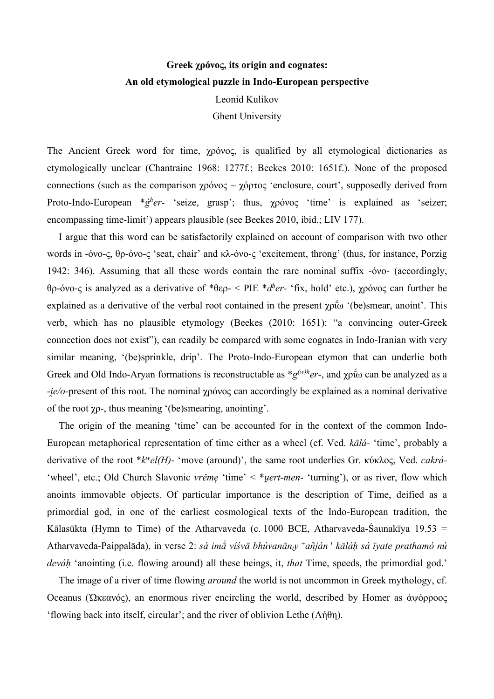## **Greek χρόνος, its origin and cognates: An old etymological puzzle in Indo-European perspective** Leonid Kulikov

Ghent University

The Ancient Greek word for time, χρόνος, is qualified by all etymological dictionaries as etymologically unclear (Chantraine 1968: 1277f.; Beekes 2010: 1651f.). None of the proposed connections (such as the comparison  $\gamma \rho \acute{o} \nu \rho \sigma \sim \gamma \acute{o} \rho \tau \rho \sigma \sigma$  'enclosure, court', supposedly derived from Proto-Indo-European \**ǵh er*- 'seize, grasp'; thus, χρόνος 'time' is explained as 'seizer; encompassing time-limit') appears plausible (see Beekes 2010, ibid.; LIV 177).

I argue that this word can be satisfactorily explained on account of comparison with two other words in -όνο-ς, θρ-όνο-ς 'seat, chair' and κλ-όνο-ς 'excitement, throng' (thus, for instance, Porzig 1942: 346). Assuming that all these words contain the rare nominal suffix -όνο- (accordingly, θρ-όνο-ς is analyzed as a derivative of \*θερ- < PIE \**dh er-* 'fix, hold' etc.), χρόνος can further be explained as a derivative of the verbal root contained in the present  $\gamma \rho \dot{\tilde{\rho}}$  '(be)smear, anoint'. This verb, which has no plausible etymology (Beekes (2010: 1651): "a convincing outer-Greek connection does not exist"), can readily be compared with some cognates in Indo-Iranian with very similar meaning, '(be)sprinkle, drip'. The Proto-Indo-European etymon that can underlie both Greek and Old Indo-Aryan formations is reconstructable as  $*g^{(w)h}er$ , and  $\gamma \rho \dot{\tau} \omega$  can be analyzed as a -*i̯e/o*-present of this root. The nominal χρόνος can accordingly be explained as a nominal derivative of the root χρ-, thus meaning '(be)smearing, anointing'.

The origin of the meaning 'time' can be accounted for in the context of the common Indo-European metaphorical representation of time either as a wheel (cf. Ved. *kālá-* 'time', probably a derivative of the root \**kwel(H)*- 'move (around)', the same root underlies Gr. κύκλος, Ved. *cakrá-* 'wheel', etc.; Old Church Slavonic *vrěme* 'time' < \**uert-men-* 'turning'), or as river, flow which anoints immovable objects. Of particular importance is the description of Time, deified as a primordial god, in one of the earliest cosmological texts of the Indo-European tradition, the Kālasūkta (Hymn to Time) of the Atharvaveda (c. 1000 BCE, Atharvaveda-Śaunakīya 19.53 = Atharvaveda-Paippalāda), in verse 2: *sá imā́ víśvā bhúvanāniy* <sup>+</sup>*añján* ' *kāláḥ sá īyate prathamó nú deváḥ* 'anointing (i.e. flowing around) all these beings, it, *that* Time, speeds, the primordial god.'

The image of a river of time flowing *around* the world is not uncommon in Greek mythology, cf. Oceanus (Ὠκεανός), an enormous river encircling the world, described by Homer as ἀψόρροος 'flowing back into itself, circular'; and the river of oblivion Lethe (Λήθη).